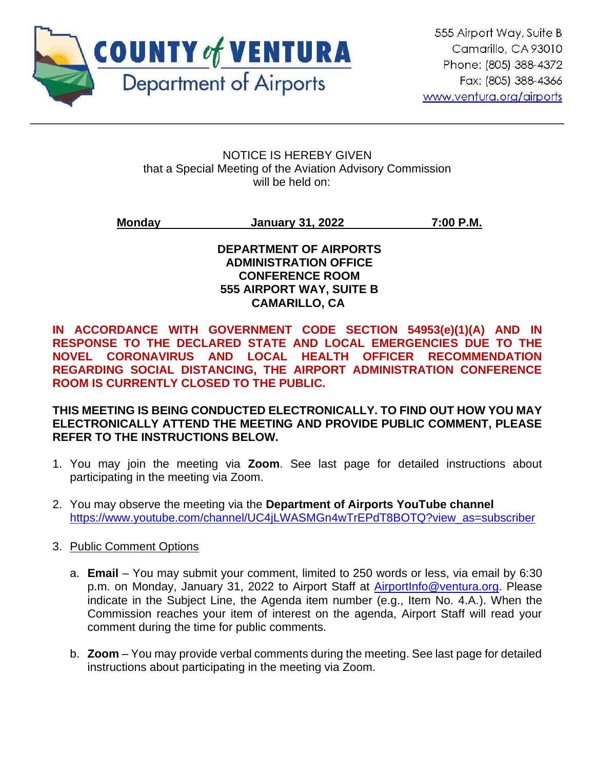

Ī

#### NOTICE IS HEREBY GIVEN that a Special Meeting of the Aviation Advisory Commission will be held on:

## **Monday January 31, 2022 7:00 P.M.**

#### **DEPARTMENT OF AIRPORTS ADMINISTRATION OFFICE CONFERENCE ROOM 555 AIRPORT WAY, SUITE B CAMARILLO, CA**

**IN ACCORDANCE WITH GOVERNMENT CODE SECTION 54953(e)(1)(A) AND IN RESPONSE TO THE DECLARED STATE AND LOCAL EMERGENCIES DUE TO THE NOVEL CORONAVIRUS AND LOCAL HEALTH OFFICER RECOMMENDATION REGARDING SOCIAL DISTANCING, THE AIRPORT ADMINISTRATION CONFERENCE ROOM IS CURRENTLY CLOSED TO THE PUBLIC.** 

#### **THIS MEETING IS BEING CONDUCTED ELECTRONICALLY. TO FIND OUT HOW YOU MAY ELECTRONICALLY ATTEND THE MEETING AND PROVIDE PUBLIC COMMENT, PLEASE REFER TO THE INSTRUCTIONS BELOW.**

- 1. You may join the meeting via **Zoom**. See last page for detailed instructions about participating in the meeting via Zoom.
- 2. You may observe the meeting via the **Department of Airports YouTube channel** [https://www.youtube.com/channel/UC4jLWASMGn4wTrEPdT8BOTQ?view\\_as=subscriber](https://www.youtube.com/channel/UC4jLWASMGn4wTrEPdT8BOTQ?view_as=subscriber)
- 3. Public Comment Options
	- a. **Email** You may submit your comment, limited to 250 words or less, via email by 6:30 p.m. on Monday, January 31, 2022 to Airport Staff at [AirportInfo@ventura.org.](mailto:AirportInfo@ventura.org) Please indicate in the Subject Line, the Agenda item number (e.g., Item No. 4.A.). When the Commission reaches your item of interest on the agenda, Airport Staff will read your comment during the time for public comments.
	- b. **Zoom** You may provide verbal comments during the meeting. See last page for detailed instructions about participating in the meeting via Zoom.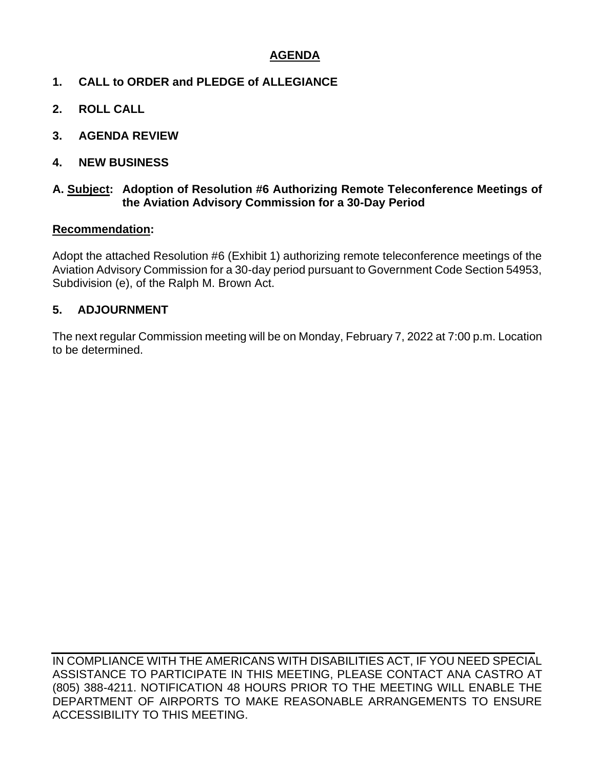### **AGENDA**

- **1. CALL to ORDER and PLEDGE of ALLEGIANCE**
- **2. ROLL CALL**
- **3. AGENDA REVIEW**
- **4. NEW BUSINESS**

#### **A. Subject: Adoption of Resolution #6 Authorizing Remote Teleconference Meetings of the Aviation Advisory Commission for a 30-Day Period**

#### **Recommendation:**

Adopt the attached Resolution #6 (Exhibit 1) authorizing remote teleconference meetings of the Aviation Advisory Commission for a 30-day period pursuant to Government Code Section 54953, Subdivision (e), of the Ralph M. Brown Act.

#### **5. ADJOURNMENT**

The next regular Commission meeting will be on Monday, February 7, 2022 at 7:00 p.m. Location to be determined.

IN COMPLIANCE WITH THE AMERICANS WITH DISABILITIES ACT, IF YOU NEED SPECIAL ASSISTANCE TO PARTICIPATE IN THIS MEETING, PLEASE CONTACT ANA CASTRO AT (805) 388-4211. NOTIFICATION 48 HOURS PRIOR TO THE MEETING WILL ENABLE THE DEPARTMENT OF AIRPORTS TO MAKE REASONABLE ARRANGEMENTS TO ENSURE ACCESSIBILITY TO THIS MEETING.